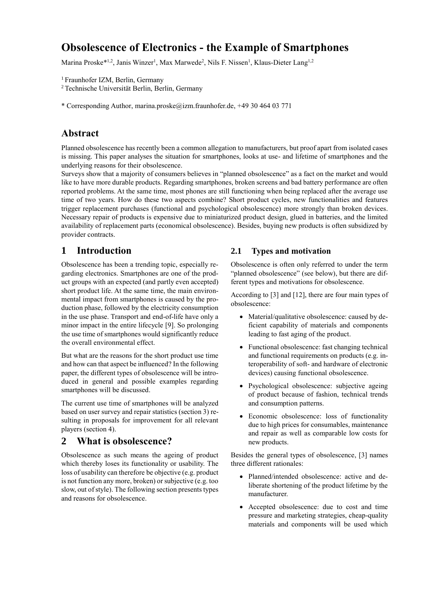# **Obsolescence of Electronics - the Example of Smartphones**

Marina Proske<sup>\*1,2</sup>, Janis Winzer<sup>1</sup>, Max Marwede<sup>2</sup>, Nils F. Nissen<sup>1</sup>, Klaus-Dieter Lang<sup>1,2</sup>

<sup>1</sup> Fraunhofer IZM, Berlin, Germany

<sup>2</sup>Technische Universität Berlin, Berlin, Germany

\* Corresponding Author, marina.proske@izm.fraunhofer.de, +49 30 464 03 771

# **Abstract**

Planned obsolescence has recently been a common allegation to manufacturers, but proof apart from isolated cases is missing. This paper analyses the situation for smartphones, looks at use- and lifetime of smartphones and the underlying reasons for their obsolescence.

Surveys show that a majority of consumers believes in "planned obsolescence" as a fact on the market and would like to have more durable products. Regarding smartphones, broken screens and bad battery performance are often reported problems. At the same time, most phones are still functioning when being replaced after the average use time of two years. How do these two aspects combine? Short product cycles, new functionalities and features trigger replacement purchases (functional and psychological obsolescence) more strongly than broken devices. Necessary repair of products is expensive due to miniaturized product design, glued in batteries, and the limited availability of replacement parts (economical obsolescence). Besides, buying new products is often subsidized by provider contracts.

## **1 Introduction**

Obsolescence has been a trending topic, especially regarding electronics. Smartphones are one of the product groups with an expected (and partly even accepted) short product life. At the same time, the main environmental impact from smartphones is caused by the production phase, followed by the electricity consumption in the use phase. Transport and end-of-life have only a minor impact in the entire lifecycle [\[9\].](#page-7-0) So prolonging the use time of smartphones would significantly reduce the overall environmental effect.

But what are the reasons for the short product use time and how can that aspect be influenced? In the following paper, the different types of obsolescence will be introduced in general and possible examples regarding smartphones will be discussed.

The current use time of smartphones will be analyzed based on user survey and repair statistics (section [3\)](#page-3-0) resulting in proposals for improvement for all relevant players (section [4\)](#page-5-0).

### **2 What is obsolescence?**

Obsolescence as such means the ageing of product which thereby loses its functionality or usability. The loss of usability can therefore be objective (e.g. product is not function any more, broken) or subjective (e.g. too slow, out of style). The following section presents types and reasons for obsolescence.

### **2.1 Types and motivation**

Obsolescence is often only referred to under the term "planned obsolescence" (see below), but there are different types and motivations for obsolescence.

According to [\[3\]](#page-7-1) an[d \[12\],](#page-7-2) there are four main types of obsolescence:

- Material/qualitative obsolescence: caused by deficient capability of materials and components leading to fast aging of the product.
- Functional obsolescence: fast changing technical and functional requirements on products (e.g. interoperability of soft- and hardware of electronic devices) causing functional obsolescence.
- Psychological obsolescence: subjective ageing of product because of fashion, technical trends and consumption patterns.
- Economic obsolescence: loss of functionality due to high prices for consumables, maintenance and repair as well as comparable low costs for new products.

Besides the general types of obsolescence, [\[3\]](#page-7-1) names three different rationales:

- Planned/intended obsolescence: active and deliberate shortening of the product lifetime by the manufacturer.
- Accepted obsolescence: due to cost and time pressure and marketing strategies, cheap-quality materials and components will be used which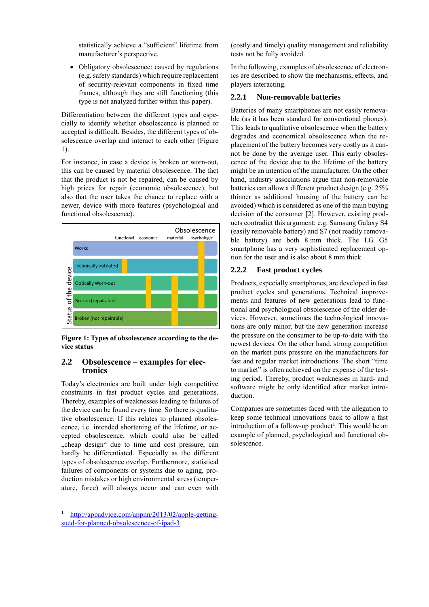statistically achieve a "sufficient" lifetime from manufacturer's perspective.

• Obligatory obsolescence: caused by regulations (e.g. safety standards) which require replacement of security-relevant components in fixed time frames, although they are still functioning (this type is not analyzed further within this paper).

Differentiation between the different types and especially to identify whether obsolescence is planned or accepted is difficult. Besides, the different types of obsolescence overlap and interact to each other [\(Figure](#page-1-0)  [1\)](#page-1-0).

For instance, in case a device is broken or worn-out, this can be caused by material obsolescence. The fact that the product is not be repaired, can be caused by high prices for repair (economic obsolescence), but also that the user takes the chance to replace with a newer, device with more features (psychological and functional obsolescence).



<span id="page-1-0"></span>**Figure 1: Types of obsolescence according to the device status**

#### **2.2 Obsolescence – examples for electronics**

Today's electronics are built under high competitive constraints in fast product cycles and generations. Thereby, examples of weaknesses leading to failures of the device can be found every time. So there is qualitative obsolescence. If this relates to planned obsolescence, i.e. intended shortening of the lifetime, or accepted obsolescence, which could also be called "cheap design" due to time and cost pressure, can hardly be differentiated. Especially as the different types of obsolescence overlap. Furthermore, statistical failures of components or systems due to aging, production mistakes or high environmental stress (temperature, force) will always occur and can even with

1

(costly and timely) quality management and reliability tests not be fully avoided.

In the following, examples of obsolescence of electronics are described to show the mechanisms, effects, and players interacting.

#### **2.2.1 Non-removable batteries**

Batteries of many smartphones are not easily removable (as it has been standard for conventional phones). This leads to qualitative obsolescence when the battery degrades and economical obsolescence when the replacement of the battery becomes very costly as it cannot be done by the average user. This early obsolescence of the device due to the lifetime of the battery might be an intention of the manufacturer. On the other hand, industry associations argue that non-removable batteries can allow a different product design (e.g. 25% thinner as additional housing of the battery can be avoided) which is considered as one of the main buying decision of the consumer [\[2\].](#page-7-3) However, existing products contradict this argument: e.g. Samsung Galaxy S4 (easily removable battery) and S7 (not readily removable battery) are both 8 mm thick. The LG G5 smartphone has a very sophisticated replacement option for the user and is also about 8 mm thick.

#### **2.2.2 Fast product cycles**

Products, especially smartphones, are developed in fast product cycles and generations. Technical improvements and features of new generations lead to functional and psychological obsolescence of the older devices. However, sometimes the technological innovations are only minor, but the new generation increase the pressure on the consumer to be up-to-date with the newest devices. On the other hand, strong competition on the market puts pressure on the manufacturers for fast and regular market introductions. The short "time to market" is often achieved on the expense of the testing period. Thereby, product weaknesses in hard- and software might be only identified after market introduction.

Companies are sometimes faced with the allegation to keep some technical innovations back to allow a fast introduction of a follow-up product<sup>1</sup>. This would be an example of planned, psychological and functional obsolescence.

[http://appadvice.com/appnn/2013/02/apple-getting](http://appadvice.com/appnn/2013/02/apple-getting-sued-for-planned-obsolescence-of-ipad-3)[sued-for-planned-obsolescence-of-ipad-3](http://appadvice.com/appnn/2013/02/apple-getting-sued-for-planned-obsolescence-of-ipad-3)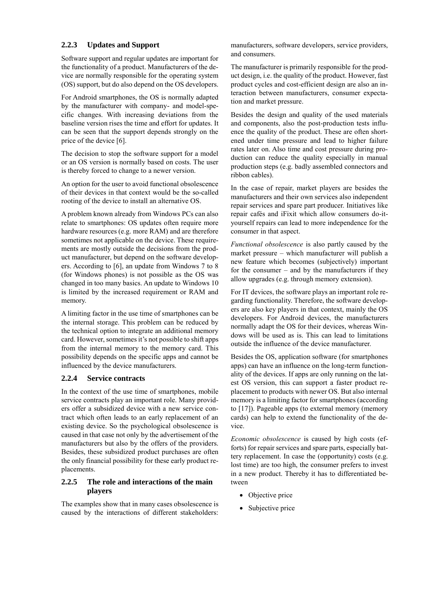#### **2.2.3 Updates and Support**

Software support and regular updates are important for the functionality of a product. Manufacturers of the device are normally responsible for the operating system (OS) support, but do also depend on the OS developers.

For Android smartphones, the OS is normally adapted by the manufacturer with company- and model-specific changes. With increasing deviations from the baseline version rises the time and effort for updates. It can be seen that the support depends strongly on the price of the device [\[6\].](#page-7-4) 

The decision to stop the software support for a model or an OS version is normally based on costs. The user is thereby forced to change to a newer version.

An option for the user to avoid functional obsolescence of their devices in that context would be the so-called rooting of the device to install an alternative OS.

A problem known already from Windows PCs can also relate to smartphones: OS updates often require more hardware resources (e.g. more RAM) and are therefore sometimes not applicable on the device. These requirements are mostly outside the decisions from the product manufacturer, but depend on the software developers. According to [\[6\],](#page-7-4) an update from Windows 7 to 8 (for Windows phones) is not possible as the OS was changed in too many basics. An update to Windows 10 is limited by the increased requirement or RAM and memory.

A limiting factor in the use time of smartphones can be the internal storage. This problem can be reduced by the technical option to integrate an additional memory card. However, sometimes it's not possible to shift apps from the internal memory to the memory card. This possibility depends on the specific apps and cannot be influenced by the device manufacturers.

#### **2.2.4 Service contracts**

In the context of the use time of smartphones, mobile service contracts play an important role. Many providers offer a subsidized device with a new service contract which often leads to an early replacement of an existing device. So the psychological obsolescence is caused in that case not only by the advertisement of the manufacturers but also by the offers of the providers. Besides, these subsidized product purchases are often the only financial possibility for these early product replacements.

#### **2.2.5 The role and interactions of the main players**

The examples show that in many cases obsolescence is caused by the interactions of different stakeholders: manufacturers, software developers, service providers, and consumers.

The manufacturer is primarily responsible for the product design, i.e. the quality of the product. However, fast product cycles and cost-efficient design are also an interaction between manufacturers, consumer expectation and market pressure.

Besides the design and quality of the used materials and components, also the post-production tests influence the quality of the product. These are often shortened under time pressure and lead to higher failure rates later on. Also time and cost pressure during production can reduce the quality especially in manual production steps (e.g. badly assembled connectors and ribbon cables).

In the case of repair, market players are besides the manufacturers and their own services also independent repair services and spare part producer. Initiatives like repair cafés and iFixit which allow consumers do-ityourself repairs can lead to more independence for the consumer in that aspect.

*Functional obsolescence* is also partly caused by the market pressure – which manufacturer will publish a new feature which becomes (subjectively) important for the consumer – and by the manufacturers if they allow upgrades (e.g. through memory extension).

For IT devices, the software plays an important role regarding functionality. Therefore, the software developers are also key players in that context, mainly the OS developers. For Android devices, the manufacturers normally adapt the OS for their devices, whereas Windows will be used as is. This can lead to limitations outside the influence of the device manufacturer.

Besides the OS, application software (for smartphones apps) can have an influence on the long-term functionality of the devices. If apps are only running on the latest OS version, this can support a faster product replacement to products with newer OS. But also internal memory is a limiting factor for smartphones (according to [\[17\]\)](#page-7-5). Pageable apps (to external memory (memory cards) can help to extend the functionality of the device.

*Economic obsolescence* is caused by high costs (efforts) for repair services and spare parts, especially battery replacement. In case the (opportunity) costs (e.g. lost time) are too high, the consumer prefers to invest in a new product. Thereby it has to differentiated between

- Objective price
- Subjective price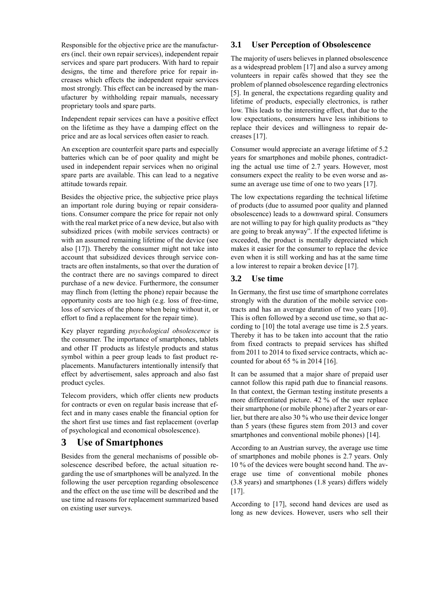Responsible for the objective price are the manufacturers (incl. their own repair services), independent repair services and spare part producers. With hard to repair designs, the time and therefore price for repair increases which effects the independent repair services most strongly. This effect can be increased by the manufacturer by withholding repair manuals, necessary proprietary tools and spare parts.

Independent repair services can have a positive effect on the lifetime as they have a damping effect on the price and are as local services often easier to reach.

An exception are counterfeit spare parts and especially batteries which can be of poor quality and might be used in independent repair services when no original spare parts are available. This can lead to a negative attitude towards repair.

Besides the objective price, the subjective price plays an important role during buying or repair considerations. Consumer compare the price for repair not only with the real market price of a new device, but also with subsidized prices (with mobile services contracts) or with an assumed remaining lifetime of the device (see also [\[17\]\)](#page-7-5). Thereby the consumer might not take into account that subsidized devices through service contracts are often instalments, so that over the duration of the contract there are no savings compared to direct purchase of a new device. Furthermore, the consumer may flinch from (letting the phone) repair because the opportunity costs are too high (e.g. loss of free-time, loss of services of the phone when being without it, or effort to find a replacement for the repair time).

Key player regarding *psychological obsolescence* is the consumer. The importance of smartphones, tablets and other IT products as lifestyle products and status symbol within a peer group leads to fast product replacements. Manufacturers intentionally intensify that effect by advertisement, sales approach and also fast product cycles.

Telecom providers, which offer clients new products for contracts or even on regular basis increase that effect and in many cases enable the financial option for the short first use times and fast replacement (overlap of psychological and economical obsolescence).

# <span id="page-3-0"></span>**3 Use of Smartphones**

Besides from the general mechanisms of possible obsolescence described before, the actual situation regarding the use of smartphones will be analyzed. In the following the user perception regarding obsolescence and the effect on the use time will be described and the use time ad reasons for replacement summarized based on existing user surveys.

### **3.1 User Perception of Obsolescence**

The majority of users believes in planned obsolescence as a widespread problem [\[17\]](#page-7-5) and also a survey among volunteers in repair cafés showed that they see the problem of planned obsolescence regarding electronics [\[5\].](#page-7-6) In general, the expectations regarding quality and lifetime of products, especially electronics, is rather low. This leads to the interesting effect, that due to the low expectations, consumers have less inhibitions to replace their devices and willingness to repair decrease[s \[17\].](#page-7-5)

Consumer would appreciate an average lifetime of 5.2 years for smartphones and mobile phones, contradicting the actual use time of 2.7 years. However, most consumers expect the reality to be even worse and as-sume an average use time of one to two years [\[17\].](#page-7-5)

The low expectations regarding the technical lifetime of products (due to assumed poor quality and planned obsolescence) leads to a downward spiral. Consumers are not willing to pay for high quality products as "they are going to break anyway". If the expected lifetime is exceeded, the product is mentally depreciated which makes it easier for the consumer to replace the device even when it is still working and has at the same time a low interest to repair a broken device [\[17\].](#page-7-5)

### **3.2 Use time**

In Germany, the first use time of smartphone correlates strongly with the duration of the mobile service contracts and has an average duration of two years [\[10\].](#page-7-7) This is often followed by a second use time, so that according to [\[10\]](#page-7-7) the total average use time is 2.5 years. Thereby it has to be taken into account that the ratio from fixed contracts to prepaid services has shifted from 2011 to 2014 to fixed service contracts, which accounted for about 65 % in 201[4 \[16\].](#page-7-8)

It can be assumed that a major share of prepaid user cannot follow this rapid path due to financial reasons. In that context, the German testing institute presents a more differentiated picture. 42 % of the user replace their smartphone (or mobile phone) after 2 years or earlier, but there are also 30 % who use their device longer than 5 years (these figures stem from 2013 and cover smartphones and conventional mobile phones) [\[14\].](#page-7-9)

According to an Austrian survey, the average use time of smartphones and mobile phones is 2.7 years. Only 10 % of the devices were bought second hand. The average use time of conventional mobile phones (3.8 years) and smartphones (1.8 years) differs widely [\[17\].](#page-7-5)

According to [\[17\],](#page-7-5) second hand devices are used as long as new devices. However, users who sell their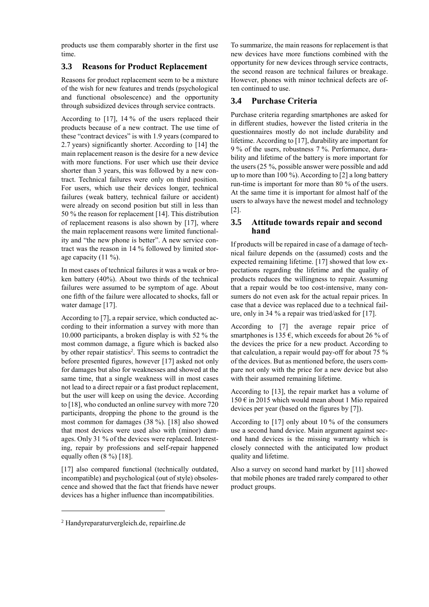products use them comparably shorter in the first use time.

### **3.3 Reasons for Product Replacement**

Reasons for product replacement seem to be a mixture of the wish for new features and trends (psychological and functional obsolescence) and the opportunity through subsidized devices through service contracts.

According to [\[17\],](#page-7-5) 14 % of the users replaced their products because of a new contract. The use time of these "contract devices" is with 1.9 years (compared to 2.7 years) significantly shorter. According to [\[14\]](#page-7-9) the main replacement reason is the desire for a new device with more functions. For user which use their device shorter than 3 years, this was followed by a new contract. Technical failures were only on third position. For users, which use their devices longer, technical failures (weak battery, technical failure or accident) were already on second position but still in less than 50 % the reason for replacement [\[14\].](#page-7-9) This distribution of replacement reasons is also shown by [\[17\],](#page-7-5) where the main replacement reasons were limited functionality and "the new phone is better". A new service contract was the reason in 14 % followed by limited storage capacity (11 %).

In most cases of technical failures it was a weak or broken battery (40%). About two thirds of the technical failures were assumed to be symptom of age. About one fifth of the failure were allocated to shocks, fall or water damage [\[17\].](#page-7-5)

According t[o \[7\],](#page-7-10) a repair service, which conducted according to their information a survey with more than 10.000 participants, a broken display is with 52 % the most common damage, a figure which is backed also by other repair statistics<sup>2</sup>. This seems to contradict the before presented figures, however [\[17\]](#page-7-5) asked not only for damages but also for weaknesses and showed at the same time, that a single weakness will in most cases not lead to a direct repair or a fast product replacement, but the user will keep on using the device. According to [\[18\],](#page-7-11) who conducted an online survey with more 720 participants, dropping the phone to the ground is the most common for damages (38 %). [\[18\]](#page-7-11) also showed that most devices were used also with (minor) damages. Only 31 % of the devices were replaced. Interesting, repair by professions and self-repair happened equally often  $(8\%)$  [\[18\].](#page-7-11)

[\[17\]](#page-7-5) also compared functional (technically outdated, incompatible) and psychological (out of style) obsolescence and showed that the fact that friends have newer devices has a higher influence than incompatibilities.

To summarize, the main reasons for replacement is that new devices have more functions combined with the opportunity for new devices through service contracts, the second reason are technical failures or breakage. However, phones with minor technical defects are often continued to use.

### **3.4 Purchase Criteria**

Purchase criteria regarding smartphones are asked for in different studies, however the listed criteria in the questionnaires mostly do not include durability and lifetime. According t[o \[17\],](#page-7-5) durability are important for 9 % of the users, robustness 7 %. Performance, durability and lifetime of the battery is more important for the users (25 %, possible answer were possible and add up to more than 100 %). According t[o \[2\]](#page-7-3) a long battery run-time is important for more than 80 % of the users. At the same time it is important for almost half of the users to always have the newest model and technology [\[2\].](#page-7-3)

### **3.5 Attitude towards repair and second hand**

If products will be repaired in case of a damage of technical failure depends on the (assumed) costs and the expected remaining lifetime. [\[17\]](#page-7-5) showed that low expectations regarding the lifetime and the quality of products reduces the willingness to repair. Assuming that a repair would be too cost-intensive, many consumers do not even ask for the actual repair prices. In case that a device was replaced due to a technical failure, only in 34 % a repair was tried/asked for [\[17\].](#page-7-5)

According to [\[7\]](#page-7-10) the average repair price of smartphones is 135  $\epsilon$ , which exceeds for about 26 % of the devices the price for a new product. According to that calculation, a repair would pay-off for about 75 % of the devices. But as mentioned before, the users compare not only with the price for a new device but also with their assumed remaining lifetime.

According to [\[13\],](#page-7-12) the repair market has a volume of  $150 \text{ } \in$  in 2015 which would mean about 1 Mio repaired devices per year (based on the figures by [\[7\]\)](#page-7-10).

According to [\[17\]](#page-7-5) only about 10 % of the consumers use a second hand device. Main argument against second hand devices is the missing warranty which is closely connected with the anticipated low product quality and lifetime.

Also a survey on second hand market by [\[11\]](#page-7-13) showed that mobile phones are traded rarely compared to other product groups.

1

<sup>2</sup> Handyreparaturvergleich.de, repairline.de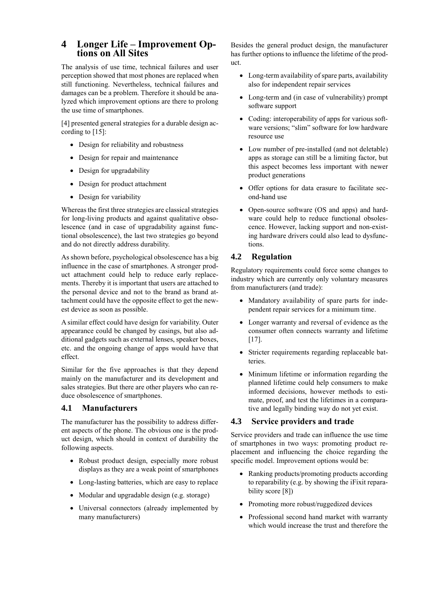### <span id="page-5-0"></span>**4 Longer Life – Improvement Options on All Sites**

The analysis of use time, technical failures and user perception showed that most phones are replaced when still functioning. Nevertheless, technical failures and damages can be a problem. Therefore it should be analyzed which improvement options are there to prolong the use time of smartphones.

[\[4\]](#page-7-14) presented general strategies for a durable design according to [\[15\]:](#page-7-15)

- Design for reliability and robustness
- Design for repair and maintenance
- Design for upgradability
- Design for product attachment
- Design for variability

Whereas the first three strategies are classical strategies for long-living products and against qualitative obsolescence (and in case of upgradability against functional obsolescence), the last two strategies go beyond and do not directly address durability.

As shown before, psychological obsolescence has a big influence in the case of smartphones. A stronger product attachment could help to reduce early replacements. Thereby it is important that users are attached to the personal device and not to the brand as brand attachment could have the opposite effect to get the newest device as soon as possible.

A similar effect could have design for variability. Outer appearance could be changed by casings, but also additional gadgets such as external lenses, speaker boxes, etc. and the ongoing change of apps would have that effect.

Similar for the five approaches is that they depend mainly on the manufacturer and its development and sales strategies. But there are other players who can reduce obsolescence of smartphones.

#### **4.1 Manufacturers**

The manufacturer has the possibility to address different aspects of the phone. The obvious one is the product design, which should in context of durability the following aspects.

- Robust product design, especially more robust displays as they are a weak point of smartphones
- Long-lasting batteries, which are easy to replace
- Modular and upgradable design (e.g. storage)
- Universal connectors (already implemented by many manufacturers)

Besides the general product design, the manufacturer has further options to influence the lifetime of the product.

- Long-term availability of spare parts, availability also for independent repair services
- Long-term and (in case of vulnerability) prompt software support
- Coding: interoperability of apps for various software versions; "slim" software for low hardware resource use
- Low number of pre-installed (and not deletable) apps as storage can still be a limiting factor, but this aspect becomes less important with newer product generations
- Offer options for data erasure to facilitate second-hand use
- Open-source software (OS and apps) and hardware could help to reduce functional obsolescence. However, lacking support and non-existing hardware drivers could also lead to dysfunctions.

### **4.2 Regulation**

Regulatory requirements could force some changes to industry which are currently only voluntary measures from manufacturers (and trade):

- Mandatory availability of spare parts for independent repair services for a minimum time.
- Longer warranty and reversal of evidence as the consumer often connects warranty and lifetime [\[17\].](#page-7-5)
- Stricter requirements regarding replaceable batteries.
- Minimum lifetime or information regarding the planned lifetime could help consumers to make informed decisions, however methods to estimate, proof, and test the lifetimes in a comparative and legally binding way do not yet exist.

### **4.3 Service providers and trade**

Service providers and trade can influence the use time of smartphones in two ways: promoting product replacement and influencing the choice regarding the specific model. Improvement options would be:

- Ranking products/promoting products according to reparability (e.g. by showing the iFixit repara-bility score [\[8\]\)](#page-7-16)
- Promoting more robust/ruggedized devices
- Professional second hand market with warranty which would increase the trust and therefore the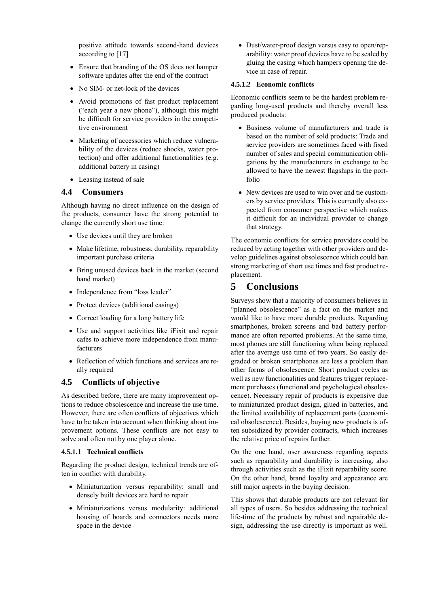positive attitude towards second-hand devices according t[o \[17\]](#page-7-5)

- Ensure that branding of the OS does not hamper software updates after the end of the contract
- No SIM- or net-lock of the devices
- Avoid promotions of fast product replacement ("each year a new phone"), although this might be difficult for service providers in the competitive environment
- Marketing of accessories which reduce vulnerability of the devices (reduce shocks, water protection) and offer additional functionalities (e.g. additional battery in casing)
- Leasing instead of sale

#### **4.4 Consumers**

Although having no direct influence on the design of the products, consumer have the strong potential to change the currently short use time:

- Use devices until they are broken
- Make lifetime, robustness, durability, reparability important purchase criteria
- Bring unused devices back in the market (second hand market)
- Independence from "loss leader"
- Protect devices (additional casings)
- Correct loading for a long battery life
- Use and support activities like iFixit and repair cafés to achieve more independence from manufacturers
- Reflection of which functions and services are really required

#### **4.5 Conflicts of objective**

As described before, there are many improvement options to reduce obsolescence and increase the use time. However, there are often conflicts of objectives which have to be taken into account when thinking about improvement options. These conflicts are not easy to solve and often not by one player alone.

#### **4.5.1.1 Technical conflicts**

Regarding the product design, technical trends are often in conflict with durability.

- Miniaturization versus reparability: small and densely built devices are hard to repair
- Miniaturizations versus modularity: additional housing of boards and connectors needs more space in the device

• Dust/water-proof design versus easy to open/reparability: water proof devices have to be sealed by gluing the casing which hampers opening the device in case of repair.

#### **4.5.1.2 Economic conflicts**

Economic conflicts seem to be the hardest problem regarding long-used products and thereby overall less produced products:

- Business volume of manufacturers and trade is based on the number of sold products: Trade and service providers are sometimes faced with fixed number of sales and special communication obligations by the manufacturers in exchange to be allowed to have the newest flagships in the portfolio
- New devices are used to win over and tie customers by service providers. This is currently also expected from consumer perspective which makes it difficult for an individual provider to change that strategy.

The economic conflicts for service providers could be reduced by acting together with other providers and develop guidelines against obsolescence which could ban strong marketing of short use times and fast product replacement.

# **5 Conclusions**

Surveys show that a majority of consumers believes in "planned obsolescence" as a fact on the market and would like to have more durable products. Regarding smartphones, broken screens and bad battery performance are often reported problems. At the same time, most phones are still functioning when being replaced after the average use time of two years. So easily degraded or broken smartphones are less a problem than other forms of obsolescence: Short product cycles as well as new functionalities and features trigger replacement purchases (functional and psychological obsolescence). Necessary repair of products is expensive due to miniaturized product design, glued in batteries, and the limited availability of replacement parts (economical obsolescence). Besides, buying new products is often subsidized by provider contracts, which increases the relative price of repairs further.

On the one hand, user awareness regarding aspects such as reparability and durability is increasing, also through activities such as the iFixit reparability score. On the other hand, brand loyalty and appearance are still major aspects in the buying decision.

This shows that durable products are not relevant for all types of users. So besides addressing the technical life-time of the products by robust and repairable design, addressing the use directly is important as well.